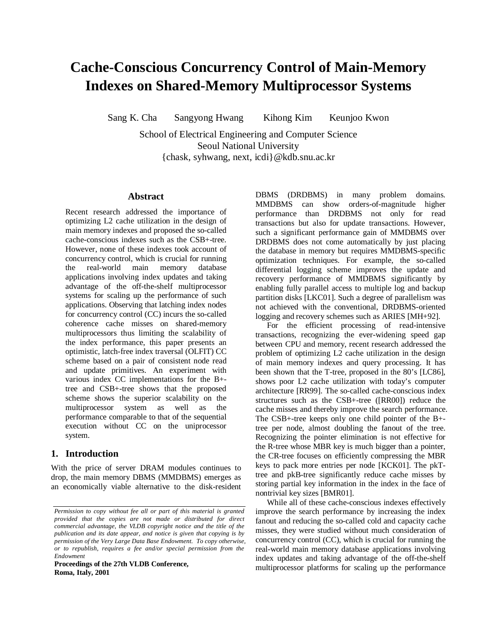# **Cache-Conscious Concurrency Control of Main-Memory Indexes on Shared-Memory Multiprocessor Systems**

Sang K. Cha Sangyong Hwang Kihong Kim Keunjoo Kwon

School of Electrical Engineering and Computer Science Seoul National University {chask, syhwang, next, icdi}@kdb.snu.ac.kr

### **Abstract**

Recent research addressed the importance of optimizing L2 cache utilization in the design of main memory indexes and proposed the so-called cache-conscious indexes such as the CSB+-tree. However, none of these indexes took account of concurrency control, which is crucial for running the real-world main memory database applications involving index updates and taking advantage of the off-the-shelf multiprocessor systems for scaling up the performance of such applications. Observing that latching index nodes for concurrency control (CC) incurs the so-called coherence cache misses on shared-memory multiprocessors thus limiting the scalability of the index performance, this paper presents an optimistic, latch-free index traversal (OLFIT) CC scheme based on a pair of consistent node read and update primitives. An experiment with various index CC implementations for the B+ tree and CSB+-tree shows that the proposed scheme shows the superior scalability on the multiprocessor system as well as the performance comparable to that of the sequential execution without CC on the uniprocessor system.

# **1. Introduction**

With the price of server DRAM modules continues to drop, the main memory DBMS (MMDBMS) emerges as an economically viable alternative to the disk-resident

**Proceedings of the 27th VLDB Conference, Roma, Italy, 2001**

DBMS (DRDBMS) in many problem domains. MMDBMS can show orders-of-magnitude higher performance than DRDBMS not only for read transactions but also for update transactions. However, such a significant performance gain of MMDBMS over DRDBMS does not come automatically by just placing the database in memory but requires MMDBMS-specific optimization techniques. For example, the so-called differential logging scheme improves the update and recovery performance of MMDBMS significantly by enabling fully parallel access to multiple log and backup partition disks [LKC01]. Such a degree of parallelism was not achieved with the conventional, DRDBMS-oriented logging and recovery schemes such as ARIES [MH+92].

For the efficient processing of read-intensive transactions, recognizing the ever-widening speed gap between CPU and memory, recent research addressed the problem of optimizing L2 cache utilization in the design of main memory indexes and query processing. It has been shown that the T-tree, proposed in the 80's [LC86], shows poor L2 cache utilization with today's computer architecture [RR99]. The so-called cache-conscious index structures such as the CSB+-tree ([RR00]) reduce the cache misses and thereby improve the search performance. The CSB+-tree keeps only one child pointer of the B+ tree per node, almost doubling the fanout of the tree. Recognizing the pointer elimination is not effective for the R-tree whose MBR key is much bigger than a pointer, the CR-tree focuses on efficiently compressing the MBR keys to pack more entries per node [KCK01]. The pkTtree and pkB-tree significantly reduce cache misses by storing partial key information in the index in the face of nontrivial key sizes [BMR01].

While all of these cache-conscious indexes effectively improve the search performance by increasing the index fanout and reducing the so-called cold and capacity cache misses, they were studied without much consideration of concurrency control (CC), which is crucial for running the real-world main memory database applications involving index updates and taking advantage of the off-the-shelf multiprocessor platforms for scaling up the performance

*Permission to copy without fee all or part of this material is granted provided that the copies are not made or distributed for direct commercial advantage, the VLDB copyright notice and the title of the publication and its date appear, and notice is given that copying is by permission of the Very Large Data Base Endowment. To copy otherwise, or to republish, requires a fee and/or special permission from the Endowment*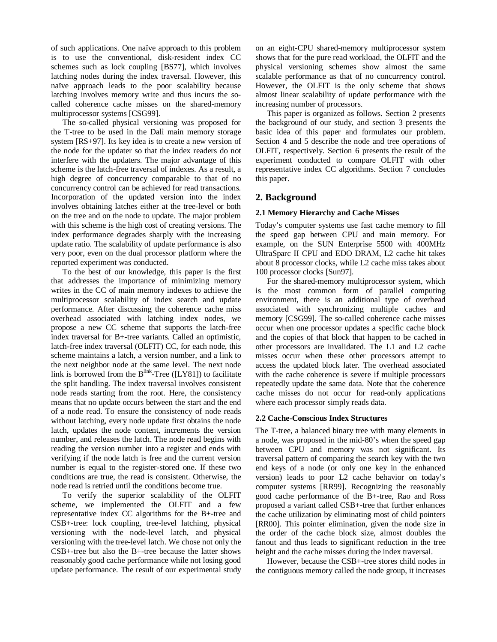of such applications. One naïve approach to this problem is to use the conventional, disk-resident index CC schemes such as lock coupling [BS77], which involves latching nodes during the index traversal. However, this naïve approach leads to the poor scalability because latching involves memory write and thus incurs the socalled coherence cache misses on the shared-memory multiprocessor systems [CSG99].

The so-called physical versioning was proposed for the T-tree to be used in the Dalì main memory storage system [RS+97]. Its key idea is to create a new version of the node for the updater so that the index readers do not interfere with the updaters. The major advantage of this scheme is the latch-free traversal of indexes. As a result, a high degree of concurrency comparable to that of no concurrency control can be achieved for read transactions. Incorporation of the updated version into the index involves obtaining latches either at the tree-level or both on the tree and on the node to update. The major problem with this scheme is the high cost of creating versions. The index performance degrades sharply with the increasing update ratio. The scalability of update performance is also very poor, even on the dual processor platform where the reported experiment was conducted.

To the best of our knowledge, this paper is the first that addresses the importance of minimizing memory writes in the CC of main memory indexes to achieve the multiprocessor scalability of index search and update performance. After discussing the coherence cache miss overhead associated with latching index nodes, we propose a new CC scheme that supports the latch-free index traversal for B+-tree variants. Called an optimistic, latch-free index traversal (OLFIT) CC, for each node, this scheme maintains a latch, a version number, and a link to the next neighbor node at the same level. The next node link is borrowed from the  $B^{link}$ -Tree ([LY81]) to facilitate the split handling. The index traversal involves consistent node reads starting from the root. Here, the consistency means that no update occurs between the start and the end of a node read. To ensure the consistency of node reads without latching, every node update first obtains the node latch, updates the node content, increments the version number, and releases the latch. The node read begins with reading the version number into a register and ends with verifying if the node latch is free and the current version number is equal to the register-stored one. If these two conditions are true, the read is consistent. Otherwise, the node read is retried until the conditions become true.

To verify the superior scalability of the OLFIT scheme, we implemented the OLFIT and a few representative index CC algorithms for the B+-tree and CSB+-tree: lock coupling, tree-level latching, physical versioning with the node-level latch, and physical versioning with the tree-level latch. We chose not only the CSB+-tree but also the B+-tree because the latter shows reasonably good cache performance while not losing good update performance. The result of our experimental study

on an eight-CPU shared-memory multiprocessor system shows that for the pure read workload, the OLFIT and the physical versioning schemes show almost the same scalable performance as that of no concurrency control. However, the OLFIT is the only scheme that shows almost linear scalability of update performance with the increasing number of processors.

This paper is organized as follows. Section 2 presents the background of our study, and section 3 presents the basic idea of this paper and formulates our problem. Section 4 and 5 describe the node and tree operations of OLFIT, respectively. Section 6 presents the result of the experiment conducted to compare OLFIT with other representative index CC algorithms. Section 7 concludes this paper.

## **2. Background**

### **2.1 Memory Hierarchy and Cache Misses**

Today's computer systems use fast cache memory to fill the speed gap between CPU and main memory. For example, on the SUN Enterprise 5500 with 400MHz UltraSparc II CPU and EDO DRAM, L2 cache hit takes about 8 processor clocks, while L2 cache miss takes about 100 processor clocks [Sun97].

For the shared-memory multiprocessor system, which is the most common form of parallel computing environment, there is an additional type of overhead associated with synchronizing multiple caches and memory [CSG99]. The so-called coherence cache misses occur when one processor updates a specific cache block and the copies of that block that happen to be cached in other processors are invalidated. The L1 and L2 cache misses occur when these other processors attempt to access the updated block later. The overhead associated with the cache coherence is severe if multiple processors repeatedly update the same data. Note that the coherence cache misses do not occur for read-only applications where each processor simply reads data.

### **2.2 Cache-Conscious Index Structures**

The T-tree, a balanced binary tree with many elements in a node, was proposed in the mid-80's when the speed gap between CPU and memory was not significant. Its traversal pattern of comparing the search key with the two end keys of a node (or only one key in the enhanced version) leads to poor L2 cache behavior on today's computer systems [RR99]. Recognizing the reasonably good cache performance of the B+-tree, Rao and Ross proposed a variant called CSB+-tree that further enhances the cache utilization by eliminating most of child pointers [RR00]. This pointer elimination, given the node size in the order of the cache block size, almost doubles the fanout and thus leads to significant reduction in the tree height and the cache misses during the index traversal.

However, because the CSB+-tree stores child nodes in the contiguous memory called the node group, it increases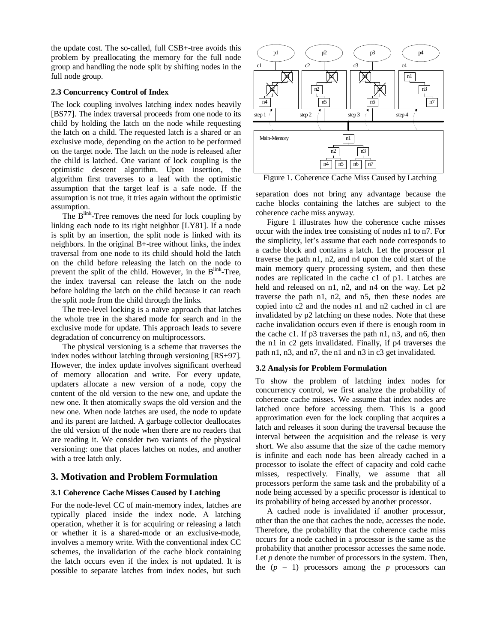the update cost. The so-called, full CSB+-tree avoids this problem by preallocating the memory for the full node group and handling the node split by shifting nodes in the full node group.

### **2.3 Concurrency Control of Index**

The lock coupling involves latching index nodes heavily [BS77]. The index traversal proceeds from one node to its child by holding the latch on the node while requesting the latch on a child. The requested latch is a shared or an exclusive mode, depending on the action to be performed on the target node. The latch on the node is released after the child is latched. One variant of lock coupling is the optimistic descent algorithm. Upon insertion, the algorithm first traverses to a leaf with the optimistic assumption that the target leaf is a safe node. If the assumption is not true, it tries again without the optimistic assumption.

The B<sup>link</sup>-Tree removes the need for lock coupling by linking each node to its right neighbor [LY81]. If a node is split by an insertion, the split node is linked with its neighbors. In the original B+-tree without links, the index traversal from one node to its child should hold the latch on the child before releasing the latch on the node to prevent the split of the child. However, in the B<sup>link</sup>-Tree, the index traversal can release the latch on the node before holding the latch on the child because it can reach the split node from the child through the links.

The tree-level locking is a naïve approach that latches the whole tree in the shared mode for search and in the exclusive mode for update. This approach leads to severe degradation of concurrency on multiprocessors.

The physical versioning is a scheme that traverses the index nodes without latching through versioning [RS+97]. However, the index update involves significant overhead of memory allocation and write. For every update, updaters allocate a new version of a node, copy the content of the old version to the new one, and update the new one. It then atomically swaps the old version and the new one. When node latches are used, the node to update and its parent are latched. A garbage collector deallocates the old version of the node when there are no readers that are reading it. We consider two variants of the physical versioning: one that places latches on nodes, and another with a tree latch only.

# **3. Motivation and Problem Formulation**

## **3.1 Coherence Cache Misses Caused by Latching**

For the node-level CC of main-memory index, latches are typically placed inside the index node. A latching operation, whether it is for acquiring or releasing a latch or whether it is a shared-mode or an exclusive-mode, involves a memory write. With the conventional index CC schemes, the invalidation of the cache block containing the latch occurs even if the index is not updated. It is possible to separate latches from index nodes, but such



Figure 1. Coherence Cache Miss Caused by Latching

separation does not bring any advantage because the cache blocks containing the latches are subject to the coherence cache miss anyway.

Figure 1 illustrates how the coherence cache misses occur with the index tree consisting of nodes n1 to n7. For the simplicity, let's assume that each node corresponds to a cache block and contains a latch. Let the processor p1 traverse the path n1, n2, and n4 upon the cold start of the main memory query processing system, and then these nodes are replicated in the cache c1 of p1. Latches are held and released on n1, n2, and n4 on the way. Let p2 traverse the path n1, n2, and n5, then these nodes are copied into c2 and the nodes n1 and n2 cached in c1 are invalidated by p2 latching on these nodes. Note that these cache invalidation occurs even if there is enough room in the cache c1. If p3 traverses the path n1, n3, and n6, then the n1 in c2 gets invalidated. Finally, if p4 traverses the path n1, n3, and n7, the n1 and n3 in c3 get invalidated.

## **3.2 Analysis for Problem Formulation**

To show the problem of latching index nodes for concurrency control, we first analyze the probability of coherence cache misses. We assume that index nodes are latched once before accessing them. This is a good approximation even for the lock coupling that acquires a latch and releases it soon during the traversal because the interval between the acquisition and the release is very short. We also assume that the size of the cache memory is infinite and each node has been already cached in a processor to isolate the effect of capacity and cold cache misses, respectively. Finally, we assume that all processors perform the same task and the probability of a node being accessed by a specific processor is identical to its probability of being accessed by another processor.

A cached node is invalidated if another processor, other than the one that caches the node, accesses the node. Therefore, the probability that the coherence cache miss occurs for a node cached in a processor is the same as the probability that another processor accesses the same node. Let *p* denote the number of processors in the system. Then, the  $(p - 1)$  processors among the *p* processors can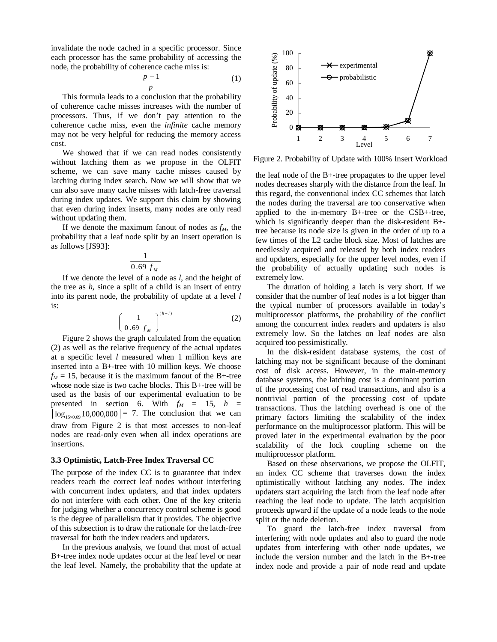invalidate the node cached in a specific processor. Since each processor has the same probability of accessing the node, the probability of coherence cache miss is:

$$
\frac{p-1}{p} \tag{1}
$$

This formula leads to a conclusion that the probability of coherence cache misses increases with the number of processors. Thus, if we don't pay attention to the coherence cache miss, even the *infinite* cache memory may not be very helpful for reducing the memory access cost.

We showed that if we can read nodes consistently without latching them as we propose in the OLFIT scheme, we can save many cache misses caused by latching during index search. Now we will show that we can also save many cache misses with latch-free traversal during index updates. We support this claim by showing that even during index inserts, many nodes are only read without updating them.

If we denote the maximum fanout of nodes as  $f_M$ , the probability that a leaf node split by an insert operation is as follows [JS93]:

$$
\frac{1}{0.69\ f_M}
$$

If we denote the level of a node as *l*, and the height of the tree as *h*, since a split of a child is an insert of entry into its parent node, the probability of update at a level *l* is:

$$
\left(\frac{1}{0.69 f_M}\right)^{(h-l)}\tag{2}
$$

Figure 2 shows the graph calculated from the equation (2) as well as the relative frequency of the actual updates at a specific level *l* measured when 1 million keys are inserted into a B+-tree with 10 million keys. We choose  $f_M = 15$ , because it is the maximum fanout of the B+-tree whose node size is two cache blocks. This B+-tree will be used as the basis of our experimental evaluation to be presented in section 6. With  $f_M = 15$ ,  $h =$  $d$ raw from Figure 2 is that most accesses to non-leaf  $\left[\log_{15\times0.69} 10,000,000\right] = 7$ . The conclusion that we can nodes are read-only even when all index operations are insertions.

#### **3.3 Optimistic, Latch-Free Index Traversal CC**

The purpose of the index CC is to guarantee that index readers reach the correct leaf nodes without interfering with concurrent index updaters, and that index updaters do not interfere with each other. One of the key criteria for judging whether a concurrency control scheme is good is the degree of parallelism that it provides. The objective of this subsection is to draw the rationale for the latch-free traversal for both the index readers and updaters.

In the previous analysis, we found that most of actual B+-tree index node updates occur at the leaf level or near the leaf level. Namely, the probability that the update at



Figure 2. Probability of Update with 100% Insert Workload

the leaf node of the B+-tree propagates to the upper level nodes decreases sharply with the distance from the leaf. In this regard, the conventional index CC schemes that latch the nodes during the traversal are too conservative when applied to the in-memory B+-tree or the CSB+-tree, which is significantly deeper than the disk-resident B+ tree because its node size is given in the order of up to a few times of the L2 cache block size. Most of latches are needlessly acquired and released by both index readers and updaters, especially for the upper level nodes, even if the probability of actually updating such nodes is extremely low.

The duration of holding a latch is very short. If we consider that the number of leaf nodes is a lot bigger than the typical number of processors available in today's multiprocessor platforms, the probability of the conflict among the concurrent index readers and updaters is also extremely low. So the latches on leaf nodes are also acquired too pessimistically.

In the disk-resident database systems, the cost of latching may not be significant because of the dominant cost of disk access. However, in the main-memory database systems, the latching cost is a dominant portion of the processing cost of read transactions, and also is a nontrivial portion of the processing cost of update transactions. Thus the latching overhead is one of the primary factors limiting the scalability of the index performance on the multiprocessor platform. This will be proved later in the experimental evaluation by the poor scalability of the lock coupling scheme on the multiprocessor platform.

Based on these observations, we propose the OLFIT, an index CC scheme that traverses down the index optimistically without latching any nodes. The index updaters start acquiring the latch from the leaf node after reaching the leaf node to update. The latch acquisition proceeds upward if the update of a node leads to the node split or the node deletion.

To guard the latch-free index traversal from interfering with node updates and also to guard the node updates from interfering with other node updates, we include the version number and the latch in the B+-tree index node and provide a pair of node read and update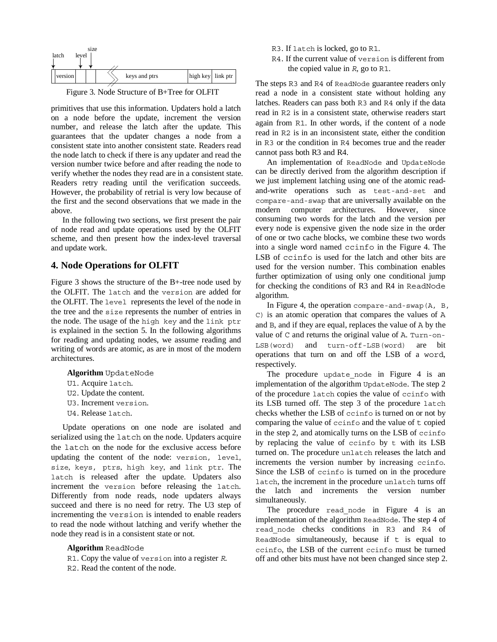

Figure 3. Node Structure of B+Tree for OLFIT

primitives that use this information. Updaters hold a latch on a node before the update, increment the version number, and release the latch after the update. This guarantees that the updater changes a node from a consistent state into another consistent state. Readers read the node latch to check if there is any updater and read the version number twice before and after reading the node to verify whether the nodes they read are in a consistent state. Readers retry reading until the verification succeeds. However, the probability of retrial is very low because of the first and the second observations that we made in the above.

In the following two sections, we first present the pair of node read and update operations used by the OLFIT scheme, and then present how the index-level traversal and update work.

### **4. Node Operations for OLFIT**

Figure 3 shows the structure of the B+-tree node used by the OLFIT. The latch and the version are added for the OLFIT. The level represents the level of the node in the tree and the size represents the number of entries in the node. The usage of the high key and the link ptr is explained in the section 5. In the following algorithms for reading and updating nodes, we assume reading and writing of words are atomic, as are in most of the modern architectures.

- **Algorithm** UpdateNode
- U1. Acquire latch.
- U2. Update the content.
- U3. Increment version.
- U4. Release latch.

Update operations on one node are isolated and serialized using the latch on the node. Updaters acquire the latch on the node for the exclusive access before updating the content of the node: version, level, size, keys, ptrs, high key, and link ptr. The latch is released after the update. Updaters also increment the version before releasing the latch. Differently from node reads, node updaters always succeed and there is no need for retry. The U3 step of incrementing the version is intended to enable readers to read the node without latching and verify whether the node they read is in a consistent state or not.

### **Algorithm** ReadNode

R1. Copy the value of version into a register *R*. R2. Read the content of the node.

- R3. If latch is locked, go to R1.
- R4. If the current value of version is different from the copied value in *R*, go to R1.

The steps R3 and R4 of ReadNode guarantee readers only read a node in a consistent state without holding any latches. Readers can pass both R3 and R4 only if the data read in R2 is in a consistent state, otherwise readers start again from R1. In other words, if the content of a node read in R2 is in an inconsistent state, either the condition in R3 or the condition in R4 becomes true and the reader cannot pass both R3 and R4.

An implementation of ReadNode and UpdateNode can be directly derived from the algorithm description if we just implement latching using one of the atomic readand-write operations such as test-and-set and compare-and-swap that are universally available on the modern computer architectures. However, since consuming two words for the latch and the version per every node is expensive given the node size in the order of one or two cache blocks, we combine these two words into a single word named ccinfo in the Figure 4. The LSB of ccinfo is used for the latch and other bits are used for the version number. This combination enables further optimization of using only one conditional jump for checking the conditions of R3 and R4 in ReadNode algorithm.

In Figure 4, the operation compare-and-swap(A, B, C) is an atomic operation that compares the values of A and B, and if they are equal, replaces the value of A by the value of C and returns the original value of A. Turn-on-LSB(word) and turn-off-LSB(word) are bit operations that turn on and off the LSB of a word, respectively.

The procedure update node in Figure 4 is an implementation of the algorithm UpdateNode. The step 2 of the procedure latch copies the value of ccinfo with its LSB turned off. The step 3 of the procedure latch checks whether the LSB of ccinfo is turned on or not by comparing the value of ccinfo and the value of t copied in the step 2, and atomically turns on the LSB of ccinfo by replacing the value of ccinfo by t with its LSB turned on. The procedure unlatch releases the latch and increments the version number by increasing ccinfo. Since the LSB of ccinfo is turned on in the procedure latch, the increment in the procedure unlatch turns off the latch and increments the version number simultaneously.

The procedure read node in Figure 4 is an implementation of the algorithm ReadNode. The step 4 of read\_node checks conditions in R3 and R4 of ReadNode simultaneously, because if  $t$  is equal to ccinfo, the LSB of the current ccinfo must be turned off and other bits must have not been changed since step 2.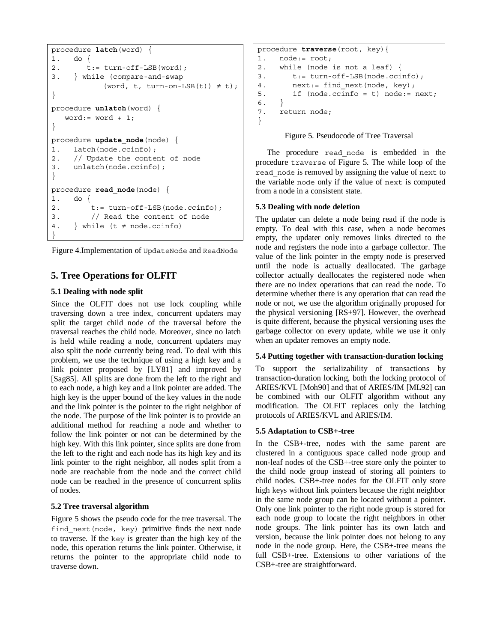```
procedure latch(word) {
1. do {
2. t:= turn-off-LSB(word);
3. } while (compare-and-swap
           (word, t, turn-on-LSB(t)) \neq t);
}
procedure unlatch(word) {
   word := word + 1;}
procedure update node(node) {
1. latch(node.ccinfo);
2. // Update the content of node
3. unlatch(node.ccinfo);
}
procedure read_node(node) {
1. do {
2. t:= turn-off-LSB(node.ccinfo);
3. // Read the content of node
4. } while (t \neq node.ccinfo)}
```
Figure 4.Implementation of UpdateNode and ReadNode

# **5. Tree Operations for OLFIT**

### **5.1 Dealing with node split**

Since the OLFIT does not use lock coupling while traversing down a tree index, concurrent updaters may split the target child node of the traversal before the traversal reaches the child node. Moreover, since no latch is held while reading a node, concurrent updaters may also split the node currently being read. To deal with this problem, we use the technique of using a high key and a link pointer proposed by [LY81] and improved by [Sag85]. All splits are done from the left to the right and to each node, a high key and a link pointer are added. The high key is the upper bound of the key values in the node and the link pointer is the pointer to the right neighbor of the node. The purpose of the link pointer is to provide an additional method for reaching a node and whether to follow the link pointer or not can be determined by the high key. With this link pointer, since splits are done from the left to the right and each node has its high key and its link pointer to the right neighbor, all nodes split from a node are reachable from the node and the correct child node can be reached in the presence of concurrent splits of nodes.

## **5.2 Tree traversal algorithm**

Figure 5 shows the pseudo code for the tree traversal. The find\_next(node, key) primitive finds the next node to traverse. If the key is greater than the high key of the node, this operation returns the link pointer. Otherwise, it returns the pointer to the appropriate child node to traverse down.

```
procedure traverse(root, key){
1. node:= root;
2. while (node is not a leaf) {
3. t:= turn-off-LSB(node.ccinfo);
4. next:= find next(node, key);
5. if (node.ccinfo = t) node:= next;
6. }
7. return node;
}
```


The procedure read\_node is embedded in the procedure traverse of Figure 5. The while loop of the read\_node is removed by assigning the value of next to the variable node only if the value of next is computed from a node in a consistent state.

### **5.3 Dealing with node deletion**

The updater can delete a node being read if the node is empty. To deal with this case, when a node becomes empty, the updater only removes links directed to the node and registers the node into a garbage collector. The value of the link pointer in the empty node is preserved until the node is actually deallocated. The garbage collector actually deallocates the registered node when there are no index operations that can read the node. To determine whether there is any operation that can read the node or not, we use the algorithm originally proposed for the physical versioning [RS+97]. However, the overhead is quite different, because the physical versioning uses the garbage collector on every update, while we use it only when an updater removes an empty node.

### **5.4 Putting together with transaction-duration locking**

To support the serializability of transactions by transaction-duration locking, both the locking protocol of ARIES/KVL [Moh90] and that of ARIES/IM [ML92] can be combined with our OLFIT algorithm without any modification. The OLFIT replaces only the latching protocols of ARIES/KVL and ARIES/IM.

### **5.5 Adaptation to CSB+-tree**

In the CSB+-tree, nodes with the same parent are clustered in a contiguous space called node group and non-leaf nodes of the CSB+-tree store only the pointer to the child node group instead of storing all pointers to child nodes. CSB+-tree nodes for the OLFIT only store high keys without link pointers because the right neighbor in the same node group can be located without a pointer. Only one link pointer to the right node group is stored for each node group to locate the right neighbors in other node groups. The link pointer has its own latch and version, because the link pointer does not belong to any node in the node group. Here, the CSB+-tree means the full CSB+-tree. Extensions to other variations of the CSB+-tree are straightforward.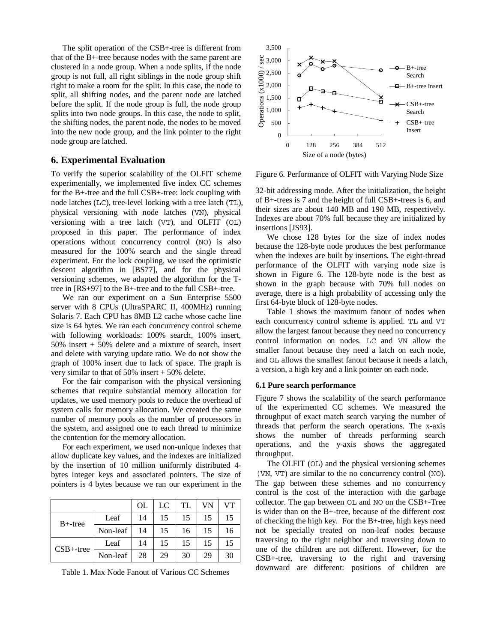The split operation of the CSB+-tree is different from that of the B+-tree because nodes with the same parent are clustered in a node group. When a node splits, if the node group is not full, all right siblings in the node group shift right to make a room for the split. In this case, the node to split, all shifting nodes, and the parent node are latched before the split. If the node group is full, the node group splits into two node groups. In this case, the node to split, the shifting nodes, the parent node, the nodes to be moved into the new node group, and the link pointer to the right node group are latched.

## **6. Experimental Evaluation**

To verify the superior scalability of the OLFIT scheme experimentally, we implemented five index CC schemes for the B+-tree and the full CSB+-tree: lock coupling with node latches (LC), tree-level locking with a tree latch (TL), physical versioning with node latches (VN), physical versioning with a tree latch (VT), and OLFIT (OL) proposed in this paper. The performance of index operations without concurrency control (NO) is also measured for the 100% search and the single thread experiment. For the lock coupling, we used the optimistic descent algorithm in [BS77], and for the physical versioning schemes, we adapted the algorithm for the Ttree in [RS+97] to the B+-tree and to the full CSB+-tree.

We ran our experiment on a Sun Enterprise 5500 server with 8 CPUs (UltraSPARC II, 400MHz) running Solaris 7. Each CPU has 8MB L2 cache whose cache line size is 64 bytes. We ran each concurrency control scheme with following workloads: 100% search, 100% insert, 50% insert + 50% delete and a mixture of search, insert and delete with varying update ratio. We do not show the graph of 100% insert due to lack of space. The graph is very similar to that of  $50\%$  insert  $+50\%$  delete.

For the fair comparison with the physical versioning schemes that require substantial memory allocation for updates, we used memory pools to reduce the overhead of system calls for memory allocation. We created the same number of memory pools as the number of processors in the system, and assigned one to each thread to minimize the contention for the memory allocation.

For each experiment, we used non-unique indexes that allow duplicate key values, and the indexes are initialized by the insertion of 10 million uniformly distributed 4 bytes integer keys and associated pointers. The size of pointers is 4 bytes because we ran our experiment in the

|              |          | OL | LC | TL | VN | VТ |
|--------------|----------|----|----|----|----|----|
| $B+$ -tree   | Leaf     | 14 | 15 | 15 | 15 | 15 |
|              | Non-leaf | 14 | 15 | 16 | 15 | 16 |
| $CSB+$ -tree | Leaf     | 14 | 15 | 15 | 15 | 15 |
|              | Non-leaf | 28 | 29 | 30 | 29 | 30 |

Table 1. Max Node Fanout of Various CC Schemes



Figure 6. Performance of OLFIT with Varying Node Size

32-bit addressing mode. After the initialization, the height of B+-trees is 7 and the height of full CSB+-trees is 6, and their sizes are about 140 MB and 190 MB, respectively. Indexes are about 70% full because they are initialized by insertions [JS93].

We chose 128 bytes for the size of index nodes because the 128-byte node produces the best performance when the indexes are built by insertions. The eight-thread performance of the OLFIT with varying node size is shown in Figure 6. The 128-byte node is the best as shown in the graph because with 70% full nodes on average, there is a high probability of accessing only the first 64-byte block of 128-byte nodes.

Table 1 shows the maximum fanout of nodes when each concurrency control scheme is applied. TL and VT allow the largest fanout because they need no concurrency control information on nodes. LC and VN allow the smaller fanout because they need a latch on each node, and OL allows the smallest fanout because it needs a latch, a version, a high key and a link pointer on each node.

### **6.1 Pure search performance**

Figure 7 shows the scalability of the search performance of the experimented CC schemes. We measured the throughput of exact match search varying the number of threads that perform the search operations. The x-axis shows the number of threads performing search operations, and the y-axis shows the aggregated throughput.

The OLFIT (OL) and the physical versioning schemes (VN, VT) are similar to the no concurrency control (NO). The gap between these schemes and no concurrency control is the cost of the interaction with the garbage collector. The gap between OL and NO on the CSB+-Tree is wider than on the B+-tree, because of the different cost of checking the high key. For the B+-tree, high keys need not be specially treated on non-leaf nodes because traversing to the right neighbor and traversing down to one of the children are not different. However, for the CSB+-tree, traversing to the right and traversing downward are different: positions of children are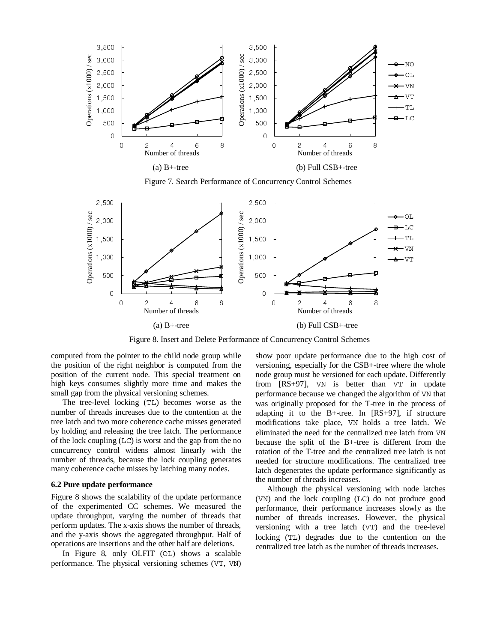

Figure 7. Search Performance of Concurrency Control Schemes



Figure 8. Insert and Delete Performance of Concurrency Control Schemes

computed from the pointer to the child node group while the position of the right neighbor is computed from the position of the current node. This special treatment on high keys consumes slightly more time and makes the small gap from the physical versioning schemes.

The tree-level locking (TL) becomes worse as the number of threads increases due to the contention at the tree latch and two more coherence cache misses generated by holding and releasing the tree latch. The performance of the lock coupling (LC) is worst and the gap from the no concurrency control widens almost linearly with the number of threads, because the lock coupling generates many coherence cache misses by latching many nodes.

### **6.2 Pure update performance**

Figure 8 shows the scalability of the update performance of the experimented CC schemes. We measured the update throughput, varying the number of threads that perform updates. The x-axis shows the number of threads, and the y-axis shows the aggregated throughput. Half of operations are insertions and the other half are deletions.

In Figure 8, only OLFIT (OL) shows a scalable performance. The physical versioning schemes (VT, VN) show poor update performance due to the high cost of versioning, especially for the CSB+-tree where the whole node group must be versioned for each update. Differently from [RS+97], VN is better than VT in update performance because we changed the algorithm of VN that was originally proposed for the T-tree in the process of adapting it to the B+-tree. In [RS+97], if structure modifications take place, VN holds a tree latch. We eliminated the need for the centralized tree latch from VN because the split of the B+-tree is different from the rotation of the T-tree and the centralized tree latch is not needed for structure modifications. The centralized tree latch degenerates the update performance significantly as the number of threads increases.

Although the physical versioning with node latches (VN) and the lock coupling (LC) do not produce good performance, their performance increases slowly as the number of threads increases. However, the physical versioning with a tree latch (VT) and the tree-level locking (TL) degrades due to the contention on the centralized tree latch as the number of threads increases.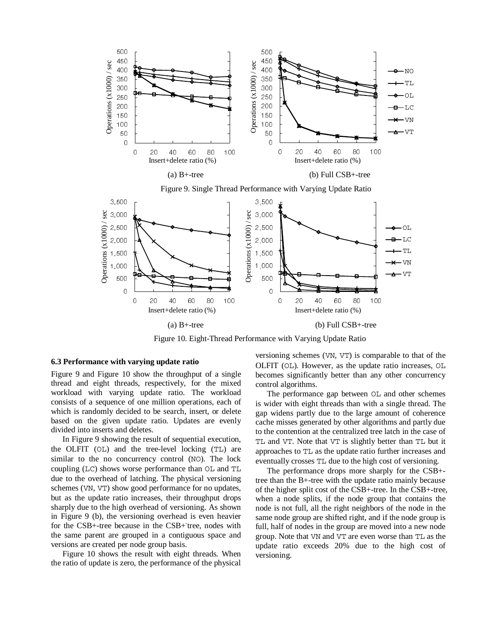

Figure 10. Eight-Thread Performance with Varying Update Ratio

#### **6.3 Performance with varying update ratio**

Figure 9 and Figure 10 show the throughput of a single thread and eight threads, respectively, for the mixed workload with varying update ratio. The workload consists of a sequence of one million operations, each of which is randomly decided to be search, insert, or delete based on the given update ratio. Updates are evenly divided into inserts and deletes.

In Figure 9 showing the result of sequential execution, the OLFIT (OL) and the tree-level locking (TL) are similar to the no concurrency control (NO). The lock coupling (LC) shows worse performance than OL and TL due to the overhead of latching. The physical versioning schemes (VN, VT) show good performance for no updates, but as the update ratio increases, their throughput drops sharply due to the high overhead of versioning. As shown in Figure 9 (b), the versioning overhead is even heavier for the CSB+-tree because in the CSB+ tree, nodes with the same parent are grouped in a contiguous space and versions are created per node group basis.

Figure 10 shows the result with eight threads. When the ratio of update is zero, the performance of the physical versioning schemes (VN, VT) is comparable to that of the OLFIT (OL). However, as the update ratio increases, OL becomes significantly better than any other concurrency control algorithms.

The performance gap between OL and other schemes is wider with eight threads than with a single thread. The gap widens partly due to the large amount of coherence cache misses generated by other algorithms and partly due to the contention at the centralized tree latch in the case of TL and VT. Note that VT is slightly better than TL but it approaches to TL as the update ratio further increases and eventually crosses TL due to the high cost of versioning.

The performance drops more sharply for the CSB+ tree than the B+-tree with the update ratio mainly because of the higher split cost of the CSB+-tree. In the CSB+-tree, when a node splits, if the node group that contains the node is not full, all the right neighbors of the node in the same node group are shifted right, and if the node group is full, half of nodes in the group are moved into a new node group. Note that VN and VT are even worse than TL as the update ratio exceeds 20% due to the high cost of versioning.